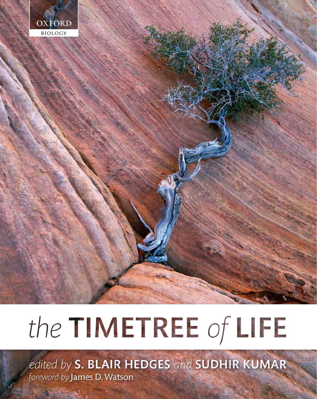

# the TIMETREE of LIFE

edited by S. BLAIR HEDGES and SUDHIR KUMAR foreword by James D. Watson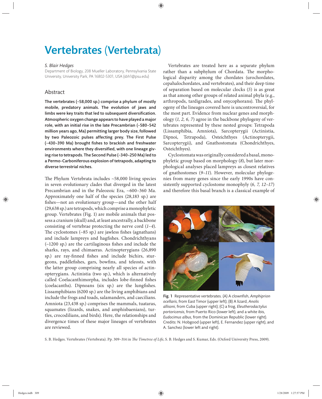# Vertebrates (Vertebrata)

#### *S. Blair Hedges*

Department of Biology, 208 Mueller Laboratory, Pennsylvania State University, University Park, PA 16802-5301, USA (sbh1@psu.edu)

### Abstract

The vertebrates (~58,000 sp.) comprise a phylum of mostly mobile, predatory animals. The evolution of jaws and limbs were key traits that led to subsequent diversification. Atmospheric oxygen change appears to have played a major role, with an initial rise in the late Precambrian (~580–542 million years ago, Ma) permitting larger body size, followed by two Paleozoic pulses affecting prey. The First Pulse  $(-430-390$  Ma) brought fishes to brackish and freshwater environments where they diversified, with one lineage giving rise to tetrapods. The Second Pulse (~340–250 Ma) led to a Permo-Carboniferous explosion of tetrapods, adapting to diverse terrestrial niches.

The Phylum Vertebrata includes  $~58,000$  living species in seven evolutionary clades that diverged in the latest Precambrian and in the Paleozoic Era, ~600–360 Ma. Approximately one half of the species (28,183 sp.) are fishes—not an evolutionary group—and the other half (29,638 sp.) are tetrapods, which comprise a monophyletic group. Vertebrates (Fig. 1) are mobile animals that possess a cranium (skull) and, at least ancestrally, a backbone consisting of vertebrae protecting the nerve cord (*1–4*). The cyclostomes  $(-85$  sp.) are jawless fishes (agnathans) and include lampreys and hagfishes. Chondrichthyans  $(-1200 \text{ sp.})$  are the cartilaginous fishes and include the sharks, rays, and chimaeras. Actinopterygians (26,890 sp.) are ray-finned fishes and include bichirs, sturgeons, paddlefishes, gars, bowfins, and teleosts, with the latter group comprising nearly all species of actinopterygians. Actinistia (two sp.), which is alternatively called Coelacanthimorpha, includes lobe-finned fishes (coelacanths). Dipnoans (six sp.) are the lungfishes. Lissamphibians (6200 sp.) are the living amphibians and include the frogs and toads, salamanders, and caecilians. Amniota (23,438 sp.) comprises the mammals, tuataras, squamates (lizards, snakes, and amphisbaenians), turtles, crocodilians, and birds). Here, the relationships and divergence times of these major lineages of vertebrates are reviewed.

Vertebrates are treated here as a separate phylum rather than a subphylum of Chordata. The morphological disparity among the chordates (urochordates, cepahalochordates, and vertebrates), and their deep time of separation based on molecular clocks (*5*) is as great as that among other groups of related animal phyla (e.g., arthropods, tardigrades, and onycophorans). The phylogeny of the lineages covered here is uncontroversial, for the most part. Evidence from nuclear genes and morphology (*1, 2, 6, 7*) agree in the backbone phylogeny of vertebrates represented by these nested groups: Tetrapoda (Lissamphibia, Amniota), Sarcopterygii (Actinistia, Dipnoi, Tetrapoda), Osteichthyes (Actinopterygii, Sarcopterygii), and Gnathostomata (Chondrichthyes, Osteichthyes).

Cyclostomata was originally considered a basal, monophyletic group based on morphology (*8*), but later morphological analyses placed lampreys as closest relatives of gnathostomes (*9–11*). However, molecular phylogenies from many genes since the early 1990s have consistently supported cyclostome monophyly (*6, 7, 12–17*) and therefore this basal branch is a classical example of



Fig. 1 Representative vertebrates. (A) A clownfish, Amphiprion *ocellaris*, from East Timor (upper left); (B) A lizard, *Anolis allisoni*, from Cuba (upper right); (C) a frog, *Eleutherodactylus portoricensis*, from Puerto Rico (lower left), and a white ibis, *Eudocimus albus*, from the Dominican Republic (lower right). Credits: N. Hobgood (upper left), E. Fernandez (upper right), and A. Sanchez (lower left and right).

S. B. Hedges. Vertebrates (Vertebrata). Pp. 309-314 in *The Timetree of Life*, S. B. Hedges and S. Kumar, Eds. (Oxford University Press, 2009).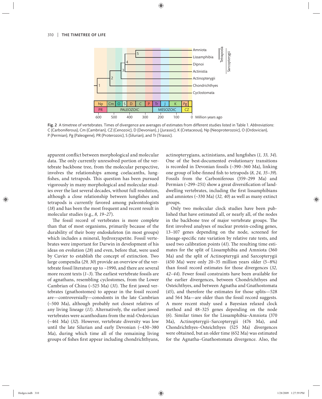

Fig. 2 A timetree of vertebrates. Times of divergence are averages of estimates from different studies listed in Table 1. *Abbreviations*: C (Carboniferous), Cm (Cambrian), CZ (Cenozoic), D (Devonian), J (Jurassic), K (Cretaceous), Np (Neoproterozoic), O (Ordovician), P (Permian), Pg (Paleogene), PR (Proterozoic), S (Silurian), and Tr (Triassic).

apparent conflict between morphological and molecular data. The only currently unresolved portion of the vertebrate backbone tree, from the molecular perspective, involves the relationships among coelacanths, lungfishes, and tetrapods. This question has been pursued vigorously in many morphological and molecular studies over the last several decades, without full resolution, although a close relationship between lungfishes and tetrapods is currently favored among paleontologists (*18*) and has been the most frequent and recent result in molecular studies (e.g., *8, 19–27*).

The fossil record of vertebrates is more complete than that of most organisms, primarily because of the durability of their bony endoskeleton (in most groups) which includes a mineral, hydroxyapetite. Fossil vertebrates were important for Darwin in development of his ideas on evolution (*28*) and even, before that, were used by Cuvier to establish the concept of extinction. Two large compendia (*29, 30*) provide an overview of the vertebrate fossil literature up to ~1990, and there are several more recent texts (1-3). The earliest vertebrate fossils are of agnathans, resembling cyclostomes, from the Lower Cambrian of China  $(\sim 525 \text{ Ma})$  (31). The first jawed vertebrates (gnathostomes) to appear in the fossil record are—controversially—conodonts in the late Cambrian  $(-500$  Ma), although probably not closest relatives of any living lineage (*11*). Alternatively, the earliest jawed vertebrates were acanthodians from the mid-Ordovician (~461 Ma) (*32*). However, vertebrate diversity was low until the late Silurian and early Devonian  $(\sim 430 - 380$ Ma), during which time all of the remaining living groups of fishes first appear including chondrichthyans,

actinopterygians, actinistians, and lungfishes (1, 33, 34). One of the best-documented evolutionary transitions is recorded in Devonian fossils (~390–360 Ma), linking one group of lobe-finned fish to tetrapods (8, 24, 35–39). Fossils from the Carboniferous (359-299 Ma) and Permian  $(\sim$ 299–251) show a great diversification of landdwelling vertebrates, including the first lissamphibians and amniotes (~330 Ma) (*32, 40*) as well as many extinct groups.

Only two molecular clock studies have been published that have estimated all, or nearly all, of the nodes in the backbone tree of major vertebrate groups. The first involved analyses of nuclear protein-coding genes, 13–107 genes depending on the node, screened for lineage-specific rate variation by relative rate tests, and used two calibration points (41). The resulting time estimates for the split of Lissamphibia and Amniota (360 Ma) and the split of Actinopterygii and Sarcopterygii (450 Ma) were only 20–35 million years older (5–8%) than fossil record estimates for those divergences (*32, 42–44*). Fewer fossil constraints have been available for the earlier divergences, between Chondrichthyes and Osteichthyes, and between Agnatha and Gnathostomata (*45*), and therefore the estimates for those splits—528 and 564 Ma—are older than the fossil record suggests. A more recent study used a Bayesian relaxed clock method and 48–325 genes depending on the node (*6*). Similar times for the Lissamphibia–Amniota (370 Ma), Actinopterygii–Sarcopterygii (476 Ma), and Chondrichthyes–Osteichthyes (525 Ma) divergences were obtained, but an older time (652 Ma) was estimated for the Agnatha–Gnathostomata divergence. Also, the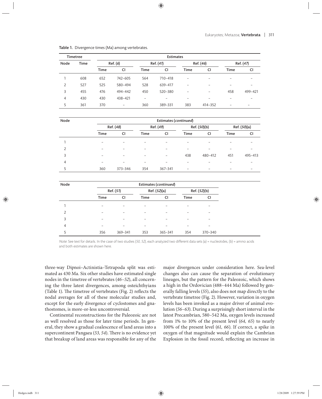|      | <b>Timetree</b> |      |          |             | <b>Estimates</b> |             |           |             |                          |  |
|------|-----------------|------|----------|-------------|------------------|-------------|-----------|-------------|--------------------------|--|
| Node | <b>Time</b>     |      | Ref. (6) |             | Ref. (41)        |             | Ref. (46) |             | Ref. (47)                |  |
|      |                 | Time | CI       | <b>Time</b> | <b>CI</b>        | <b>Time</b> | <b>CI</b> | <b>Time</b> | <b>CI</b>                |  |
|      | 608             | 652  | 742-605  | 564         | 710-418          | -           |           |             | $\overline{\phantom{0}}$ |  |
| 2    | 527             | 525  | 580-494  | 528         | 639-417          | -           |           |             |                          |  |
| 3    | 455             | 476  | 494-442  | 450         | 520-380          | -           | -         | 458         | 499-421                  |  |
| 4    | 430             | 430  | 438-421  |             |                  |             |           |             |                          |  |
| 5    | 361             | 370  | -        | 360         | 389-331          | 383         | 414-352   |             | $\overline{\phantom{0}}$ |  |

Table 1. Divergence times (Ma) among vertebrates.

| Node | Estimates (continued)    |         |           |                          |                          |         |              |         |  |  |
|------|--------------------------|---------|-----------|--------------------------|--------------------------|---------|--------------|---------|--|--|
|      | Ref. (48)                |         | Ref. (49) |                          | Ref. (50)(b)             |         | Ref. (50)(a) |         |  |  |
|      | <b>Time</b>              | CI      | Time      | <b>CI</b>                | Time                     | CI      | Time         | CI      |  |  |
|      |                          |         |           |                          |                          |         |              |         |  |  |
| 2    |                          |         |           |                          |                          |         |              |         |  |  |
| 3    | $\overline{\phantom{0}}$ | -       | -         | $\overline{\phantom{0}}$ | 438                      | 480-412 | 451          | 495-413 |  |  |
| 4    |                          |         |           |                          |                          |         |              |         |  |  |
| 5    | 360                      | 373-346 | 354       | 367-341                  | $\overline{\phantom{0}}$ |         |              |         |  |  |

| Node           | Estimates (continued)    |         |              |             |              |         |  |  |
|----------------|--------------------------|---------|--------------|-------------|--------------|---------|--|--|
|                | Ref. (51)                |         | Ref. (52)(a) |             | Ref. (52)(b) |         |  |  |
|                | Time                     | CI      | Time         | CI          | Time         | CI      |  |  |
|                | $\overline{\phantom{0}}$ |         |              |             |              | -       |  |  |
| $\overline{2}$ | ۰                        | -       |              |             |              | -       |  |  |
| 3              |                          |         |              |             |              |         |  |  |
| 4              |                          |         |              |             |              | -       |  |  |
| 5              | 356                      | 369-341 | 353          | $365 - 341$ | 354          | 370-340 |  |  |

Note: See text for details. In the case of two studies (50, 52), each analyzed two different data sets (a) = nucleotides, (b) = amino acids and both estimates are shown here.

three-way Dipnoi–Actinistia–Tetrapoda split was estimated as 430 Ma. Six other studies have estimated single nodes in the timetree of vertebrates (*46*–*52*), all concerning the three latest divergences, among osteichthyians (Table 1). The timetree of vertebrates (Fig. 2) reflects the nodal averages for all of these molecular studies and, except for the early divergence of cyclostomes and gnathostomes, is more-or-less uncontroversial.

Continental reconstructions for the Paleozoic are not as well resolved as those for later time periods. In general, they show a gradual coalescence of land areas into a supercontinent Pangaea (53, 54). There is no evidence yet that breakup of land areas was responsible for any of the major divergences under consideration here. Sea-level changes also can cause the separation of evolutionary lineages, but the pattern for the Paleozoic, which shows a high in the Ordovician (488–444 Ma) followed by generally falling levels (*55*), also does not map directly to the vertebrate timetree (Fig. 2). However, variation in oxygen levels has been invoked as a major driver of animal evolution (*56–63*). During a surprisingly short interval in the latest Precambrian, 580–542 Ma, oxygen levels increased from 1% to 10% of the present level (*64, 65*) to nearly 100% of the present level (*61, 66*). If correct, a spike in oxygen of that magnitude would explain the Cambrian Explosion in the fossil record, reflecting an increase in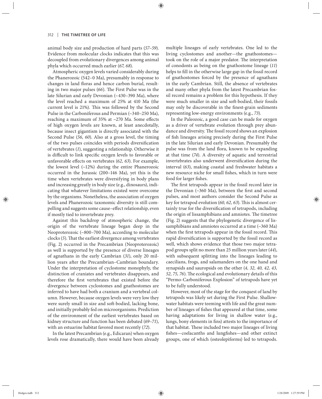animal body size and production of hard parts (*57–59*). Evidence from molecular clocks indicates that this was decoupled from evolutionary divergences among animal phyla which occurred much earlier (*67, 68*).

Atmospheric oxygen levels varied considerably during the Phanerozoic (542–0 Ma), presumably in response to changes in land floras and hence carbon burial, resulting in two major pulses (66). The First Pulse was in the late Silurian and early Devonian (~430–390 Ma), where the level reached a maximum of 25% at 410 Ma (the current level is 21%). This was followed by the Second Pulse in the Carboniferous and Permian (~340–250 Ma), reaching a maximum of 35% at  $\sim$ 270 Ma. Some effects of high oxygen levels are known, at least anecdotally, because insect gigantism is directly associated with the Second Pulse (*56, 60*). Also at a gross level, the timing of the two pulses coincides with periods diversification of vertebrates (*1*), suggesting a relationship. Otherwise it is difficult to link specific oxygen levels to favorable or unfavorable effects on vertebrates (62, 63). For example, the lowest level  $(-12%)$  during the entire Phanerozoic occurred in the Jurassic (200–146 Ma), yet this is the time when vertebrates were diversifying in body plans and increasing greatly in body size (e.g., dinosaurs), indicating that whatever limitations existed were overcome by the organisms. Nonetheless, the association of oxygen levels and Phanerozoic taxonomic diversity is still compelling and suggests some cause–effect relationship, even if mostly tied to invertebrate prey.

Against this backdrop of atmospheric change, the origin of the vertebrate lineage began deep in the Neoproterozoic (~800–700 Ma), according to molecular clocks (5). That the earliest divergence among vertebrates (Fig. 2) occurred in the Precambrian (Neoproterozoic) as well is supported by the presence of diverse lineages of agnathans in the early Cambrian (*31*), only 20 million years after the Precambrian–Cambrian boundary. Under the interpretation of cyclostome monophyly, the distinction of craniates and vertebrates disappears, and therefore the first vertebrates that existed before the divergence between cyclostomes and gnathostomes are inferred to have had both a cranium and a vertebral column. However, because oxygen levels were very low they were surely small in size and soft-bodied, lacking bone, and initially probably fed on microorganisms. Prediction of the environment of the earliest vertebrates based on kidney structure and function has been debated (*69–71*), with an estuarine habitat favored most recently (*72*).

In the latest Precambrian (e.g., Edicaran) when oxygen levels rose dramatically, there would have been already multiple lineages of early vertebrates. One led to the living cyclostomes and another—the gnathostomes took on the role of a major predator. The interpretation of conodonts as being on the gnathostome lineage (*11*) helps to fill in the otherwise large gap in the fossil record of gnathostomes forced by the presence of agnathans in the early Cambrian. Still, the absence of vertebrates and many other phyla from the latest Precambrian fossil record remains a problem for this hypothesis. If they were much smaller in size and soft-bodied, their fossils may only be discoverable in the finest-grain sediments representing low-energy environments (e.g., *73*).

In the Paleozoic, a good case can be made for oxygen as a driver of vertebrate evolution through prey abundance and diversity. The fossil record shows an explosion of fish lineages arising precisely during the First Pulse in the late Silurian and early Devonian. Presumably the pulse was from the land flora, known to be expanding at that time (74). A diversity of aquatic and terrestrial invertebrates also underwent diversification during the interval (*63*), making coastal and freshwater habitats a new resource niche for small fishes, which in turn were food for larger fishes.

The first tetrapods appear in the fossil record later in the Devonian  $(\sim]360$  Ma), between the first and second pulses, and most authors consider the Second Pulse as key for tetrapod evolution (60, 62, 63). This is almost certainly true for the diversification of tetrapods, including the origin of lissamphibians and amniotes. The timetree (Fig. 2) suggests that the phylogenetic divergence of lissamphibians and amniotes occurred at a time (~360 Ma) when the first tetrapods appear in the fossil record. This rapid diversification is supported by the fossil record as well, which shows evidence that those two major tetrapod groups split no more than 25 million years later (*44*), with subsequent splitting into the lineages leading to caecilians, frogs, and salamanders on the one hand and synapsids and sauropsids on the other (*4, 32, 40, 42, 43,*  52, 75, 76). The ecological and evolutionary details of this "Permo-Carboniferous Explosion" of tetrapods have yet to be fully understood.

However, most of the stage for the conquest of land by tetrapods was likely set during the First Pulse. Shallowwater habitats were teeming with life and the great number of lineages of fishes that appeared at that time, some having adaptations for living in shallow water (e.g., lungs, bony elements in fins) attests to the importance of that habitat. These included two major lineages of living fishes—coelacanths and lungfishes—and other extinct groups, one of which (osteolepiforms) led to tetrapods.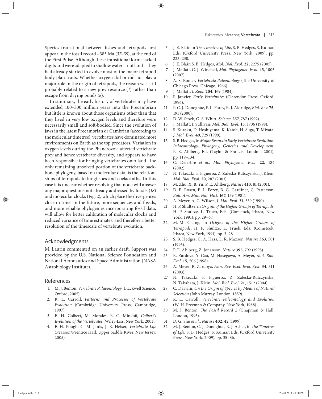Species transitional between fishes and tetrapods first appear in the fossil record ~385 Ma (*37–39*), at the end of the First Pulse. Although these transitional forms lacked digits and were adapted to shallow water—not land—they had already started to evolve most of the major tetrapod body plan traits. Whether oxygen did or did not play a major role in the origin of tetrapods, the reason was still probably related to a new prey resource (*1*) rather than escape from drying ponds (*8*).

In summary, the early history of vertebrates may have extended 100–300 million years into the Precambrian but little is known about those organisms other than that they lived in very low oxygen levels and therefore were necessarily small and soft-bodied. Since the evolution of jaws in the latest Precambrian or Cambrian (according to the molecular timetree), vertebrates have dominated most environments on Earth as the top predators. Variation in oxygen levels during the Phanerozoic affected vertebrate prey and hence vertebrate diversity, and appears to have been responsible for bringing vertebrates onto land. The only remaining unsolved portion of the vertebrate backbone phylogeny, based on molecular data, is the relationships of tetrapods to lungfishes and coelacanths. In this case it is unclear whether resolving that node will answer any major questions not already addressed by fossils (*18*) and molecular clocks (Fig. 2), which place the divergences close in time. In the future, more sequences and fossils, and more reliable phylogenies incorporating fossil data, will allow for better calibration of molecular clocks and reduced variance of time estimates, and therefore a better resolution of the timescale of vertebrate evolution.

## Acknowledgments

M. Laurin commented on an earlier draft. Support was provided by the U.S. National Science Foundation and National Aeronautics and Space Administration (NASA Astrobiology Institute).

#### References

- 1. M. J. Benton, *Vertebrate Palaeontology* (Blackwell Science, Oxford, 2005).
- 2. R. L. Carroll, *Patterns and Processes of Vertebrate Evolution* (Cambridge University Press, Cambridge, 1997).
- 3. E. H. Colbert, M. Morales, E. C. Minkoff, Colbert's *Evolution of the Vertebrates* (Wiley-Liss, New York, 2001).
- 4. F. H. Pough, C. M. Janis, J. B. Heiser, *Vertebrate Life* (Pearson/Prentice Hall, Upper Saddle River, New Jersey, 2005).
- 5. J. E. Blair, in *The Timetree of Life*, S. B. Hedges, S. Kumar, Eds. (Oxford University Press, New York, 2009), pp. 223–230.
- 6. J. E. Blair, S. B. Hedges, *Mol. Biol. Evol.* **22**, 2275 (2005).
- 7. J. Mallatt, C. J. Winchell, *Mol. Phylogenet. Evol.* **43**, 1005 (2007).
- 8. A. S. Romer, *Vertebrate Paleontology* (The University of Chicago Press, Chicago, 1966).
- 9. J. Mallatt, *J. Zool.* **204**, 169 (1984).
- 10. P. Janvier, *Early Vertebrates* (Clarendon Press, Oxford, 1996).
- 11. P. C. J. Donoghue, P. L. Forey, R. J. Aldridge, *Biol. Rev.* **75**, 191 (2000).
- 12. D. W. Stock, G. S. Whitt, *Science* **257**, 787 (1992).
- 13. J. Mallatt, J. Sullivan, *Mol. Biol. Evol.* **15**, 1706 (1998).
- 14. S. Kuraku, D. Hoshiyama, K. Katoh, H. Suga, T. Miyata, *J. Mol. Evol.* **49**, 729 (1999).
- 15. S. B. Hedges, in *Major Events in Early Vertebrate Evolution: Palaeontology, Phylogeny, Genetics and Development*, P. E. Ahlberg, Ed. (Taylor & Francis, London, 2001), pp. 119–134.
- 16. C. Delarbre *et al.*, *Mol. Phylogenet. Evol.* **22**, 184 (2002).
- 17. N. Takezaki, F. Figueroa, Z. Zaleska-Rutczynska, J. Klein, *Mol. Biol. Evol.* **20**, 287 (2003).
- 18. M. Zhu, X. B. Yu, P. E. Ahlberg, *Nature* **410**, 81 (2001).
- 19. D. E. Rosen, P. L. Forey, B. G. Gardiner, C. Patterson, *Bull. Am. Mus. Nat. Hist.* **167**, 159 (1981).
- 20. A. Meyer, A. C. Wilson, *J. Mol. Evol.* **31**, 359 (1990).
- 21. H. P. Shultze, in *Origins of the Higher Groups of Tetrapods*, H. P. Shultze, L. Trueb, Eds. (Comstock, Ithaca, New York, 1991), pp. 29–67.
- 22. M.-M. Chang, in *Origins of the Higher Groups of Tetrapods*, H. P. Shultze, L. Trueb, Eds. (Comstcok, Ithaca, New York, 1991), pp. 3–28.
- 23. S. B. Hedges, C. A. Hass, L. R. Maxson, *Nature* **363**, 501 (1993).
- 24. P. E. Ahlberg, Z. Jonanson, *Nature* **395**, 792 (1998).
- 25. R. Zardoya, Y. Cao, M. Hasegawa, A. Meyer, *Mol. Biol. Evol.* **15**, 506 (1998).
- 26. A. Meyer, R. Zardoya, *Ann. Rev. Ecol. Evol. Syst.* **34**, 311 (2003).
- 27. N. Takezaki, F. Figueroa, Z. Zaleska-Rutczynska, N. Takahata, J. Klein, *Mol. Biol. Evol.* **21**, 1512 (2004).
- 28. C. Darwin, *On the Origin of Species by Means of Natural Selection* (John Murray, London, 1859).
- 29. R. L. Carroll, *Vertebrate Paleontology and Evolution* (W. H. Freeman & Company, New York, 1988).
- 30. M. J. Benton, *The Fossil Record 2* (Chapman & Hall, London, 1993).
- 31. D. G. Shu *et al.*, *Nature* **402**, 42 (1999).
- 32. M. J. Benton, C. J. Donoghue, R. J. Asher, in *The Timetree of Life,* S. B. Hedges, S. Kumar, Eds. (Oxford University Press, New York, 2009), pp. 35–86.